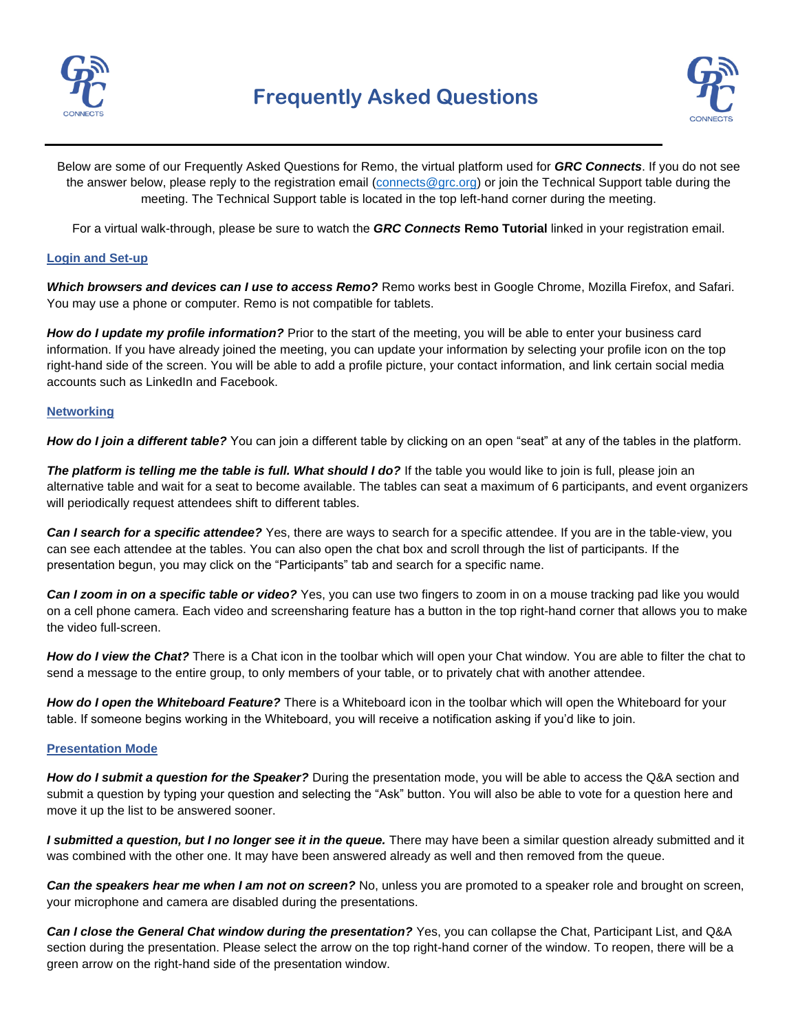

# **Frequently Asked Questions**



Below are some of our Frequently Asked Questions for Remo, the virtual platform used for *GRC Connects*. If you do not see the answer below, please reply to the registration email [\(connects@grc.org\)](mailto:connects@grc.org) or join the Technical Support table during the meeting. The Technical Support table is located in the top left-hand corner during the meeting.

For a virtual walk-through, please be sure to watch the *GRC Connects* **Remo Tutorial** linked in your registration email.

### **Login and Set-up**

*Which browsers and devices can I use to access Remo?* Remo works best in Google Chrome, Mozilla Firefox, and Safari. You may use a phone or computer. Remo is not compatible for tablets.

*How do I update my profile information?* Prior to the start of the meeting, you will be able to enter your business card information. If you have already joined the meeting, you can update your information by selecting your profile icon on the top right-hand side of the screen. You will be able to add a profile picture, your contact information, and link certain social media accounts such as LinkedIn and Facebook.

#### **Networking**

*How do I join a different table?* You can join a different table by clicking on an open "seat" at any of the tables in the platform.

The platform is telling me the table is full. What should I do? If the table you would like to join is full, please join an alternative table and wait for a seat to become available. The tables can seat a maximum of 6 participants, and event organizers will periodically request attendees shift to different tables.

*Can I search for a specific attendee?* Yes, there are ways to search for a specific attendee. If you are in the table-view, you can see each attendee at the tables. You can also open the chat box and scroll through the list of participants. If the presentation begun, you may click on the "Participants" tab and search for a specific name.

*Can I zoom in on a specific table or video?* Yes, you can use two fingers to zoom in on a mouse tracking pad like you would on a cell phone camera. Each video and screensharing feature has a button in the top right-hand corner that allows you to make the video full-screen.

*How do I view the Chat?* There is a Chat icon in the toolbar which will open your Chat window. You are able to filter the chat to send a message to the entire group, to only members of your table, or to privately chat with another attendee.

*How do I open the Whiteboard Feature?* There is a Whiteboard icon in the toolbar which will open the Whiteboard for your table. If someone begins working in the Whiteboard, you will receive a notification asking if you'd like to join.

#### **Presentation Mode**

*How do I submit a question for the Speaker?* During the presentation mode, you will be able to access the Q&A section and submit a question by typing your question and selecting the "Ask" button. You will also be able to vote for a question here and move it up the list to be answered sooner.

I submitted a question, but I no longer see it in the queue. There may have been a similar question already submitted and it was combined with the other one. It may have been answered already as well and then removed from the queue.

*Can the speakers hear me when I am not on screen?* No, unless you are promoted to a speaker role and brought on screen, your microphone and camera are disabled during the presentations.

*Can I close the General Chat window during the presentation?* Yes, you can collapse the Chat, Participant List, and Q&A section during the presentation. Please select the arrow on the top right-hand corner of the window. To reopen, there will be a green arrow on the right-hand side of the presentation window.